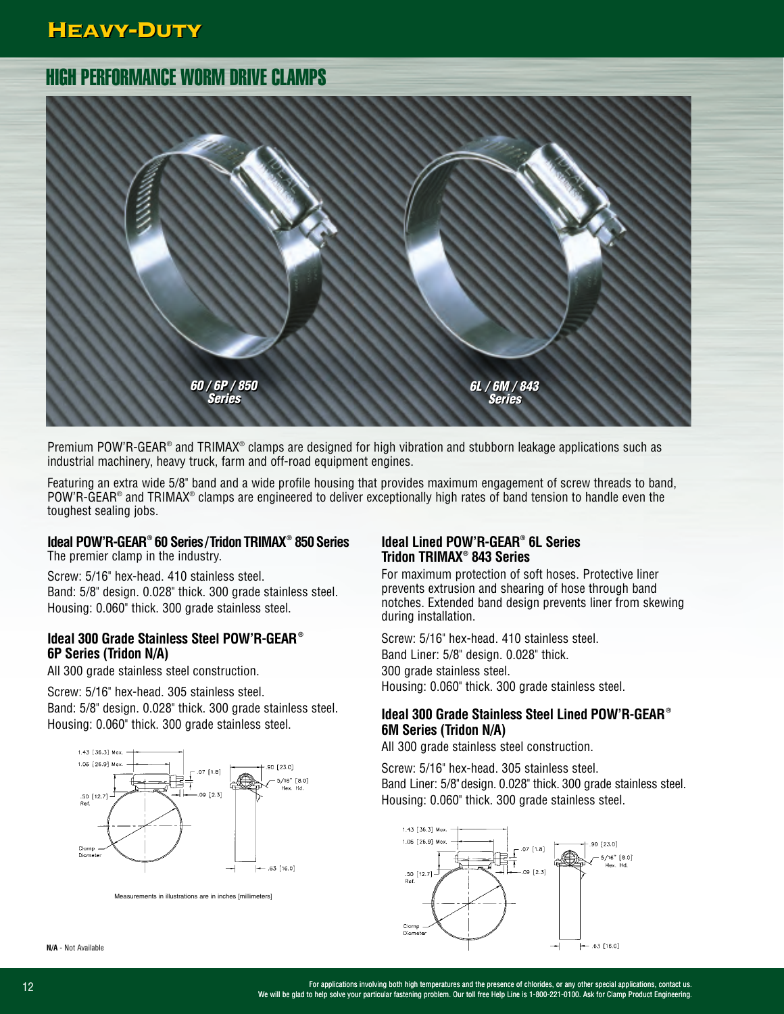## Heavy-Duty Heavy-Duty



Premium POW'R-GEAR® and TRIMAX® clamps are designed for high vibration and stubborn leakage applications such as industrial machinery, heavy truck, farm and off-road equipment engines.

Featuring an extra wide 5/8" band and a wide profile housing that provides maximum engagement of screw threads to band, POW'R-GEAR® and TRIMAX® clamps are engineered to deliver exceptionally high rates of band tension to handle even the toughest sealing jobs.

### **Ideal POW'R-GEAR® 60 Series/Tridon TRIMAX® 850Series**

The premier clamp in the industry.

Screw: 5/16" hex-head. 410 stainless steel. Band: 5/8" design. 0.028" thick. 300 grade stainless steel. Housing: 0.060" thick. 300 grade stainless steel.

#### **Ideal 300 Grade Stainless Steel POW'R-GEAR ® 6P Series (Tridon N/A)**

All 300 grade stainless steel construction.

Screw: 5/16" hex-head. 305 stainless steel. Band: 5/8" design. 0.028" thick. 300 grade stainless steel. Housing: 0.060" thick. 300 grade stainless steel.



Measurements in illustrations are in inches [millimeters]

**N/A** - Not Available

#### **Ideal Lined POW'R-GEAR® 6L Series Tridon TRIMAX® 843 Series**

For maximum protection of soft hoses. Protective liner prevents extrusion and shearing of hose through band notches. Extended band design prevents liner from skewing during installation.

Screw: 5/16" hex-head. 410 stainless steel. Band Liner: 5/8" design. 0.028" thick. 300 grade stainless steel. Housing: 0.060" thick. 300 grade stainless steel.

### **Ideal 300 Grade Stainless Steel Lined POW'R-GEAR® 6M Series (Tridon N/A)**

All 300 grade stainless steel construction.

Screw: 5/16" hex-head. 305 stainless steel. Band Liner: 5/8"design. 0.028" thick. 300 grade stainless steel. Housing: 0.060" thick. 300 grade stainless steel.